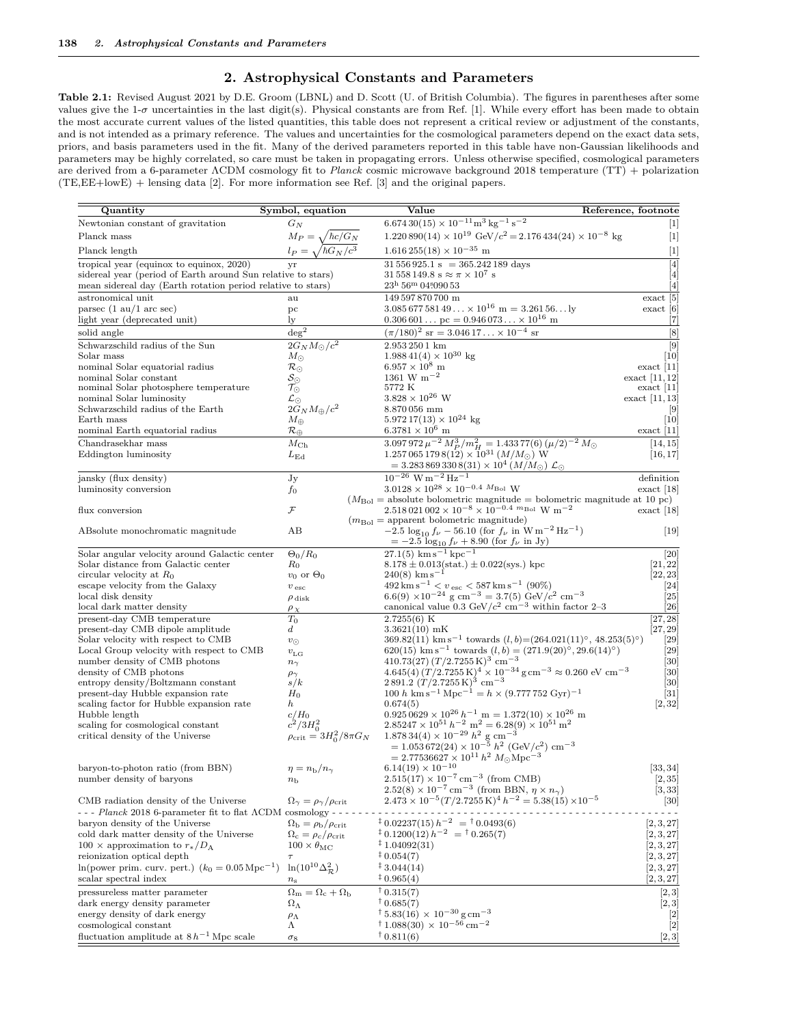## **2. Astrophysical Constants and Parameters**

**Table 2.1:** Revised August 2021 by D.E. Groom (LBNL) and D. Scott (U. of British Columbia). The figures in parentheses after some values give the 1-*σ* uncertainties in the last digit(s). Physical constants are from Ref. [\[1\]](#page-1-0). While every effort has been made to obtain the most accurate current values of the listed quantities, this table does not represent a critical review or adjustment of the constants, and is not intended as a primary reference. The values and uncertainties for the cosmological parameters depend on the exact data sets, priors, and basis parameters used in the fit. Many of the derived parameters reported in this table have non-Gaussian likelihoods and parameters may be highly correlated, so care must be taken in propagating errors. Unless otherwise specified, cosmological parameters are derived from a 6-parameter ΛCDM cosmology fit to *Planck* cosmic microwave background 2018 temperature (TT) + polarization (TE,EE+lowE) + lensing data [\[2\]](#page-1-1). For more information see Ref. [\[3\]](#page-1-2) and the original papers.

| Quantity                                                               | Symbol, equation                                   | Value                                                                                                                                                      | Reference, footnote                                                                                                                                                                                                                                                                                                                                                                                                                                                                                                                                                                                                                                                                                                                                                                                                                                                                                                                                                                                                                                                                                     |
|------------------------------------------------------------------------|----------------------------------------------------|------------------------------------------------------------------------------------------------------------------------------------------------------------|---------------------------------------------------------------------------------------------------------------------------------------------------------------------------------------------------------------------------------------------------------------------------------------------------------------------------------------------------------------------------------------------------------------------------------------------------------------------------------------------------------------------------------------------------------------------------------------------------------------------------------------------------------------------------------------------------------------------------------------------------------------------------------------------------------------------------------------------------------------------------------------------------------------------------------------------------------------------------------------------------------------------------------------------------------------------------------------------------------|
| Newtonian constant of gravitation                                      | $G_N$                                              | $6.67430(15) \times 10^{-11} \text{m}^3 \text{kg}^{-1} \text{s}^{-2}$                                                                                      | $[1]$                                                                                                                                                                                                                                                                                                                                                                                                                                                                                                                                                                                                                                                                                                                                                                                                                                                                                                                                                                                                                                                                                                   |
| Planck mass                                                            | $M_P = \sqrt{\hbar c/G_N}$                         | $1.220890(14) \times 10^{19} \text{ GeV}/c^2 = 2.176434(24) \times 10^{-8} \text{ kg}$                                                                     | $[1]$                                                                                                                                                                                                                                                                                                                                                                                                                                                                                                                                                                                                                                                                                                                                                                                                                                                                                                                                                                                                                                                                                                   |
| Planck length                                                          | $l_P = \cdot$                                      | $1.616\,255(18) \times 10^{-35}$ m                                                                                                                         | $[1] % \centering \includegraphics[width=0.9\columnwidth]{figures/fig_10.pdf} \caption{The graph $\mathcal{N}_1$ is a function of the number of~\textit{N}_1$ (left) and the number of~\textit{N}_2$ (right) are shown in \cite{N}_1$ (right).} \label{fig:1}$                                                                                                                                                                                                                                                                                                                                                                                                                                                                                                                                                                                                                                                                                                                                                                                                                                          |
| tropical year (equinox to equinox, 2020)                               | vr                                                 | $31\,556\,925.1\,\mathrm{s} = 365.242\,189\,\mathrm{days}$                                                                                                 | $[4]$                                                                                                                                                                                                                                                                                                                                                                                                                                                                                                                                                                                                                                                                                                                                                                                                                                                                                                                                                                                                                                                                                                   |
| sidereal year (period of Earth around Sun relative to stars)           |                                                    | $31\,558\,149.8\;$ s $\approx \pi \times 10^7\;$ s                                                                                                         | [4]                                                                                                                                                                                                                                                                                                                                                                                                                                                                                                                                                                                                                                                                                                                                                                                                                                                                                                                                                                                                                                                                                                     |
| mean sidereal day (Earth rotation period relative to stars)            |                                                    | $23^{\rm h}\,56^{\rm m}\,04\rlap{.}^{\rm s}090\,53$                                                                                                        | $[4]$                                                                                                                                                                                                                                                                                                                                                                                                                                                                                                                                                                                                                                                                                                                                                                                                                                                                                                                                                                                                                                                                                                   |
| astronomical unit                                                      | au                                                 | 149 597 870 700 m                                                                                                                                          | exact [5]                                                                                                                                                                                                                                                                                                                                                                                                                                                                                                                                                                                                                                                                                                                                                                                                                                                                                                                                                                                                                                                                                               |
| parsec $(1 \text{ au}/1 \text{ arc sec})$                              | pc                                                 | $3.08567758149 \times 10^{16}$ m = $3.26156$ ly                                                                                                            | $\text{exact}$ [6]                                                                                                                                                                                                                                                                                                                                                                                                                                                                                                                                                                                                                                                                                                                                                                                                                                                                                                                                                                                                                                                                                      |
| light year (deprecated unit)                                           | ly                                                 | $0.306601$ pc = $0.946073 \times 10^{16}$ m                                                                                                                | $[7]$                                                                                                                                                                                                                                                                                                                                                                                                                                                                                                                                                                                                                                                                                                                                                                                                                                                                                                                                                                                                                                                                                                   |
| solid angle                                                            | $\deg^2$                                           | $(\pi/180)^2$ sr = 3.046 17 × 10 <sup>-4</sup> sr                                                                                                          | $[8] % \begin{center} \includegraphics[width=0.3\textwidth]{images/TrDiS-Architecture.png} \end{center} % \vspace*{-1em} \caption{The figure shows the number of parameters of the number of different types of the estimators. The number of different types of the number of different types of the number of different types of the number of different types of the number of different types of the number of different types of the number of different types of the number of different types of the number of different types of the number of different types of the number of different types of the number of different types of the number of different types of the number of different types of the number of different types of the number of different types of the number of different types of the number of different types of the number of different types of the number of different types of the number of different types of the number of different types of the number of different types of the number of different types of the number of different types of the number of$ |
| Schwarzschild radius of the Sun                                        | $2G_N M_{\odot}/c^2$                               | 2.953 250 1 km                                                                                                                                             | [9]                                                                                                                                                                                                                                                                                                                                                                                                                                                                                                                                                                                                                                                                                                                                                                                                                                                                                                                                                                                                                                                                                                     |
| Solar mass                                                             | $M_{\odot}$                                        | $1.98841(4) \times 10^{30}$ kg                                                                                                                             | [10]                                                                                                                                                                                                                                                                                                                                                                                                                                                                                                                                                                                                                                                                                                                                                                                                                                                                                                                                                                                                                                                                                                    |
| nominal Solar equatorial radius                                        | $\mathcal{R}_{\odot}$                              | $6.957 \times 10^8$ m                                                                                                                                      | $\text{exact}$ [11]                                                                                                                                                                                                                                                                                                                                                                                                                                                                                                                                                                                                                                                                                                                                                                                                                                                                                                                                                                                                                                                                                     |
| nominal Solar constant                                                 | $\mathcal{S}_{\odot}$                              | $1361 \text{ W m}^{-2}$                                                                                                                                    | exact $[11, 12]$                                                                                                                                                                                                                                                                                                                                                                                                                                                                                                                                                                                                                                                                                                                                                                                                                                                                                                                                                                                                                                                                                        |
| nominal Solar photosphere temperature                                  | $\tau_\odot$                                       | 5772 K                                                                                                                                                     | $\text{exact}$ [11]                                                                                                                                                                                                                                                                                                                                                                                                                                                                                                                                                                                                                                                                                                                                                                                                                                                                                                                                                                                                                                                                                     |
| nominal Solar luminosity                                               | $\mathcal{L}_\odot$                                | $3.828 \times 10^{26}$ W                                                                                                                                   | $\text{exact}$ [11, 13]                                                                                                                                                                                                                                                                                                                                                                                                                                                                                                                                                                                                                                                                                                                                                                                                                                                                                                                                                                                                                                                                                 |
| Schwarzschild radius of the Earth                                      | $2\widetilde{G}_N M_\oplus/c^2$                    | 8.870056 mm                                                                                                                                                | $\lceil 9 \rceil$                                                                                                                                                                                                                                                                                                                                                                                                                                                                                                                                                                                                                                                                                                                                                                                                                                                                                                                                                                                                                                                                                       |
| Earth mass                                                             | $M_{\oplus}$                                       | $5.97217(13) \times 10^{24}$ kg                                                                                                                            | $\left[10\right]$                                                                                                                                                                                                                                                                                                                                                                                                                                                                                                                                                                                                                                                                                                                                                                                                                                                                                                                                                                                                                                                                                       |
| nominal Earth equatorial radius                                        | $\mathcal{R}_\oplus$                               | $6.3781 \times 10^6$ m                                                                                                                                     | $\text{exact}$ [11]                                                                                                                                                                                                                                                                                                                                                                                                                                                                                                                                                                                                                                                                                                                                                                                                                                                                                                                                                                                                                                                                                     |
| Chandrasekhar mass                                                     | $M_{\rm Ch}$                                       | $3.097972 \,\mu^{-2} \, M_P^3/m_H^2 = 1.43377(6) \, (\mu/2)^{-2} \, M_\odot$                                                                               | [14, 15]                                                                                                                                                                                                                                                                                                                                                                                                                                                                                                                                                                                                                                                                                                                                                                                                                                                                                                                                                                                                                                                                                                |
| Eddington luminosity                                                   | $L_{\rm Ed}$                                       | $1.257\,065\,179\,8(12)\times10^{31}\,(M/M_{\odot})$ W                                                                                                     | [16, 17]                                                                                                                                                                                                                                                                                                                                                                                                                                                                                                                                                                                                                                                                                                                                                                                                                                                                                                                                                                                                                                                                                                |
|                                                                        |                                                    | $=3.2838693308(31)\times 10^4 (M/M_{\odot})\mathcal{L}_{\odot}$                                                                                            |                                                                                                                                                                                                                                                                                                                                                                                                                                                                                                                                                                                                                                                                                                                                                                                                                                                                                                                                                                                                                                                                                                         |
| jansky (flux density)                                                  | Jy                                                 | $10^{-26}$ W m <sup>-2</sup> Hz <sup>-1</sup>                                                                                                              | definition                                                                                                                                                                                                                                                                                                                                                                                                                                                                                                                                                                                                                                                                                                                                                                                                                                                                                                                                                                                                                                                                                              |
| luminosity conversion                                                  | $f_{0}$                                            | $3.0128 \times 10^{28} \times 10^{-0.4}$ $M_{\rm Bol}$ W                                                                                                   | $\text{exact}$ [18]                                                                                                                                                                                                                                                                                                                                                                                                                                                                                                                                                                                                                                                                                                                                                                                                                                                                                                                                                                                                                                                                                     |
|                                                                        |                                                    | $(M_{\text{Bol}} = \text{absolute bolometric magnitude} = \text{bolometric magnitude at 10 pc})$                                                           |                                                                                                                                                                                                                                                                                                                                                                                                                                                                                                                                                                                                                                                                                                                                                                                                                                                                                                                                                                                                                                                                                                         |
| flux conversion                                                        | ${\mathcal F}$                                     | $2.518\,021\,002\times10^{-8}\times10^{-0.4}\,\,m_{\rm Bol}\,\,{\rm W}\,\,{\rm m}^{-2}$                                                                    | $\text{exact}$ [18]                                                                                                                                                                                                                                                                                                                                                                                                                                                                                                                                                                                                                                                                                                                                                                                                                                                                                                                                                                                                                                                                                     |
|                                                                        |                                                    | $(m_{\text{Bol}} = \text{apparent bolometric magnitude})$                                                                                                  |                                                                                                                                                                                                                                                                                                                                                                                                                                                                                                                                                                                                                                                                                                                                                                                                                                                                                                                                                                                                                                                                                                         |
| ABsolute monochromatic magnitude                                       | AB                                                 | $-2.5 \log_{10} f_{\nu} - 56.10$ (for $f_{\nu}$ in W m <sup>-2</sup> Hz <sup>-1</sup> )                                                                    | $[19]$                                                                                                                                                                                                                                                                                                                                                                                                                                                                                                                                                                                                                                                                                                                                                                                                                                                                                                                                                                                                                                                                                                  |
|                                                                        |                                                    | $= -2.5 \log_{10} f_{\nu} + 8.90$ (for $f_{\nu}$ in Jy)                                                                                                    |                                                                                                                                                                                                                                                                                                                                                                                                                                                                                                                                                                                                                                                                                                                                                                                                                                                                                                                                                                                                                                                                                                         |
| Solar angular velocity around Galactic center                          | $\Theta_0/R_0$                                     | $27.1(5)$ km s <sup>-1</sup> kpc <sup>-1</sup>                                                                                                             | [20]                                                                                                                                                                                                                                                                                                                                                                                                                                                                                                                                                                                                                                                                                                                                                                                                                                                                                                                                                                                                                                                                                                    |
| Solar distance from Galactic center                                    | $R_0$                                              | $8.178 \pm 0.013(stat.) \pm 0.022(sys.)$ kpc<br>$240(8)$ km s <sup>-1</sup>                                                                                | [21, 22]                                                                                                                                                                                                                                                                                                                                                                                                                                                                                                                                                                                                                                                                                                                                                                                                                                                                                                                                                                                                                                                                                                |
| circular velocity at $R_0$                                             | $v_0$ or $\Theta_0$                                | $492 \,\mathrm{km\,s^{-1}} < v_{\rm esc} < 587 \,\mathrm{km\,s^{-1}}$ (90%)                                                                                | [22, 23]<br>$\left[ 24\right]$                                                                                                                                                                                                                                                                                                                                                                                                                                                                                                                                                                                                                                                                                                                                                                                                                                                                                                                                                                                                                                                                          |
| escape velocity from the Galaxy<br>local disk density                  | $v$ esc                                            | 6.6(9) $\times 10^{-24}$ g cm <sup>-3</sup> = 3.7(5) GeV/ $c^2$ cm <sup>-3</sup>                                                                           | $\left[ 25\right]$                                                                                                                                                                                                                                                                                                                                                                                                                                                                                                                                                                                                                                                                                                                                                                                                                                                                                                                                                                                                                                                                                      |
| local dark matter density                                              | $\rho$ disk                                        | canonical value 0.3 GeV/ $c^2$ cm <sup>-3</sup> within factor 2-3                                                                                          | $\left[ 26\right]$                                                                                                                                                                                                                                                                                                                                                                                                                                                                                                                                                                                                                                                                                                                                                                                                                                                                                                                                                                                                                                                                                      |
| present-day CMB temperature                                            | $\rho_X$<br>$T_0$                                  | 2.7255(6) K                                                                                                                                                | [27, 28]                                                                                                                                                                                                                                                                                                                                                                                                                                                                                                                                                                                                                                                                                                                                                                                                                                                                                                                                                                                                                                                                                                |
| present-day CMB dipole amplitude                                       | $\boldsymbol{d}$                                   | $3.3621(10)$ mK                                                                                                                                            | [27, 29]                                                                                                                                                                                                                                                                                                                                                                                                                                                                                                                                                                                                                                                                                                                                                                                                                                                                                                                                                                                                                                                                                                |
| Solar velocity with respect to CMB                                     | $v_\odot$                                          | $369.82(11)$ km s <sup>-1</sup> towards $(l, b) = (264.021(11)^{\circ}, 48.253(5)^{\circ})$                                                                | [29]                                                                                                                                                                                                                                                                                                                                                                                                                                                                                                                                                                                                                                                                                                                                                                                                                                                                                                                                                                                                                                                                                                    |
| Local Group velocity with respect to CMB                               | $v_{\rm LG}$                                       | 620(15) km s <sup>-1</sup> towards $(l, b) = (271.9(20)^{\circ}, 29.6(14)^{\circ})$                                                                        | $\left[ 29\right]$                                                                                                                                                                                                                                                                                                                                                                                                                                                                                                                                                                                                                                                                                                                                                                                                                                                                                                                                                                                                                                                                                      |
| number density of CMB photons                                          | $n_{\gamma}$                                       | $410.73(27) (T/2.7255 \text{ K})^3 \text{ cm}^{-3}$                                                                                                        | [30]                                                                                                                                                                                                                                                                                                                                                                                                                                                                                                                                                                                                                                                                                                                                                                                                                                                                                                                                                                                                                                                                                                    |
| density of CMB photons                                                 | $\rho_{\gamma}$                                    | $4.645(4) (T/2.7255 \text{ K})^4 \times 10^{-34} \text{ g cm}^{-3} \approx 0.260 \text{ eV cm}^{-3}$                                                       | [30]                                                                                                                                                                                                                                                                                                                                                                                                                                                                                                                                                                                                                                                                                                                                                                                                                                                                                                                                                                                                                                                                                                    |
| entropy density/Boltzmann constant                                     | s/k                                                | $2891.2 (T/2.7255 \text{ K})^3 \text{ cm}^{-3}$                                                                                                            | [30]                                                                                                                                                                                                                                                                                                                                                                                                                                                                                                                                                                                                                                                                                                                                                                                                                                                                                                                                                                                                                                                                                                    |
| present-day Hubble expansion rate                                      | $H_0$                                              | $100 h \text{ km s}^{-1} \text{ Mpc}^{-1} = h \times (9.777752 \text{ Gyr})^{-1}$                                                                          | $\left[31\right]$                                                                                                                                                                                                                                                                                                                                                                                                                                                                                                                                                                                                                                                                                                                                                                                                                                                                                                                                                                                                                                                                                       |
| scaling factor for Hubble expansion rate                               | $\boldsymbol{h}$                                   | 0.674(5)                                                                                                                                                   | [2, 32]                                                                                                                                                                                                                                                                                                                                                                                                                                                                                                                                                                                                                                                                                                                                                                                                                                                                                                                                                                                                                                                                                                 |
| Hubble length                                                          | $c/H_0$                                            | $0.925\,0629 \times 10^{26} h^{-1}$ m = 1.372(10) × 10 <sup>26</sup> m<br>$2.85247 \times 10^{51} h^{-2} \text{ m}^2 = 6.28(9) \times 10^{51} \text{ m}^2$ |                                                                                                                                                                                                                                                                                                                                                                                                                                                                                                                                                                                                                                                                                                                                                                                                                                                                                                                                                                                                                                                                                                         |
| scaling for cosmological constant                                      | $c^2/3H_0^2$                                       | $1.87834(4) \times 10^{-29} h^2$ g cm <sup>-3</sup>                                                                                                        |                                                                                                                                                                                                                                                                                                                                                                                                                                                                                                                                                                                                                                                                                                                                                                                                                                                                                                                                                                                                                                                                                                         |
| critical density of the Universe                                       | $\rho_{\rm crit} = 3H_0^2/8\pi G_N$                | $= 1.053672(24) \times 10^{-5} h^2$ (GeV/c <sup>2</sup> ) cm <sup>-3</sup>                                                                                 |                                                                                                                                                                                                                                                                                                                                                                                                                                                                                                                                                                                                                                                                                                                                                                                                                                                                                                                                                                                                                                                                                                         |
|                                                                        |                                                    | $= 2.77536627 \times 10^{11} h^2 M_{\odot} \text{Mpc}^{-3}$                                                                                                |                                                                                                                                                                                                                                                                                                                                                                                                                                                                                                                                                                                                                                                                                                                                                                                                                                                                                                                                                                                                                                                                                                         |
| baryon-to-photon ratio (from BBN)                                      | $\eta = n_{\rm b}/n_{\gamma}$                      | $6.14(19) \times 10^{-10}$                                                                                                                                 | [33, 34]                                                                                                                                                                                                                                                                                                                                                                                                                                                                                                                                                                                                                                                                                                                                                                                                                                                                                                                                                                                                                                                                                                |
| number density of baryons                                              | $n_{\rm b}$                                        | $2.515(17) \times 10^{-7}$ cm <sup>-3</sup> (from CMB)                                                                                                     | [2, 35]                                                                                                                                                                                                                                                                                                                                                                                                                                                                                                                                                                                                                                                                                                                                                                                                                                                                                                                                                                                                                                                                                                 |
|                                                                        |                                                    | $2.52(8) \times 10^{-7}$ cm <sup>-3</sup> (from BBN, $\eta \times n_{\gamma}$ )                                                                            | [3, 33]                                                                                                                                                                                                                                                                                                                                                                                                                                                                                                                                                                                                                                                                                                                                                                                                                                                                                                                                                                                                                                                                                                 |
| CMB radiation density of the Universe                                  | $\Omega_{\gamma} = \rho_{\gamma}/\rho_{\rm crit}$  | $2.473 \times 10^{-5} (T/2.7255 \text{ K})^4 h^{-2} = 5.38(15) \times 10^{-5}$                                                                             | $[30]$                                                                                                                                                                                                                                                                                                                                                                                                                                                                                                                                                                                                                                                                                                                                                                                                                                                                                                                                                                                                                                                                                                  |
| $\sim$ - Planck 2018 6-parameter fit to flat $\Lambda$ CDM cosmology   |                                                    |                                                                                                                                                            |                                                                                                                                                                                                                                                                                                                                                                                                                                                                                                                                                                                                                                                                                                                                                                                                                                                                                                                                                                                                                                                                                                         |
| baryon density of the Universe                                         | $\Omega_{\rm b} = \rho_{\rm b}/\rho_{\rm crit}$    | $\frac{1}{2}$ 0.02237(15) $h^{-2}$ = $\frac{1}{2}$ 0.0493(6)                                                                                               | [2, 3, 27]                                                                                                                                                                                                                                                                                                                                                                                                                                                                                                                                                                                                                                                                                                                                                                                                                                                                                                                                                                                                                                                                                              |
| cold dark matter density of the Universe                               | $\Omega_{\rm c} = \rho_c/\rho_{\rm crit}$          | $\frac{1}{2}$ 0.1200(12) $h^{-2}$ = $\frac{1}{2}$ 0.265(7)                                                                                                 | [2, 3, 27]                                                                                                                                                                                                                                                                                                                                                                                                                                                                                                                                                                                                                                                                                                                                                                                                                                                                                                                                                                                                                                                                                              |
| $100 \times$ approximation to $r_*/D_A$                                | $100\times\theta_\mathrm{MC}$                      | $*1.04092(31)$                                                                                                                                             | [2, 3, 27]                                                                                                                                                                                                                                                                                                                                                                                                                                                                                                                                                                                                                                                                                                                                                                                                                                                                                                                                                                                                                                                                                              |
| reionization optical depth                                             | $\tau$                                             | 0.054(7)                                                                                                                                                   | [2, 3, 27]                                                                                                                                                                                                                                                                                                                                                                                                                                                                                                                                                                                                                                                                                                                                                                                                                                                                                                                                                                                                                                                                                              |
| $\ln(\text{power prim. curv. pert.})$ $(k_0 = 0.05 \,\text{Mpc}^{-1})$ | $\ln(10^{10}\Delta_{\mathcal{D}}^2)$               | 43.044(14)                                                                                                                                                 | [2, 3, 27]                                                                                                                                                                                                                                                                                                                                                                                                                                                                                                                                                                                                                                                                                                                                                                                                                                                                                                                                                                                                                                                                                              |
| scalar spectral index                                                  | $n_{\rm s}$                                        | $*0.965(4)$                                                                                                                                                | [2, 3, 27]                                                                                                                                                                                                                                                                                                                                                                                                                                                                                                                                                                                                                                                                                                                                                                                                                                                                                                                                                                                                                                                                                              |
| pressureless matter parameter                                          | $\Omega_{\rm m} = \Omega_{\rm c} + \Omega_{\rm b}$ | $\frac{1}{1}$ 0.315(7)                                                                                                                                     | [2, 3]                                                                                                                                                                                                                                                                                                                                                                                                                                                                                                                                                                                                                                                                                                                                                                                                                                                                                                                                                                                                                                                                                                  |
| dark energy density parameter                                          | $\Omega_{\Lambda}$                                 | $\uparrow$ 0.685(7)                                                                                                                                        | [2, 3]                                                                                                                                                                                                                                                                                                                                                                                                                                                                                                                                                                                                                                                                                                                                                                                                                                                                                                                                                                                                                                                                                                  |
| energy density of dark energy                                          | $\rho_{\Lambda}$                                   | $\frac{1}{2}$ 5.83(16) $\times$ 10 <sup>-30</sup> g cm <sup>-3</sup>                                                                                       | $\begin{bmatrix} 2 \\ 2 \end{bmatrix}$                                                                                                                                                                                                                                                                                                                                                                                                                                                                                                                                                                                                                                                                                                                                                                                                                                                                                                                                                                                                                                                                  |
| cosmological constant                                                  | Λ                                                  | $\frac{11.088(30) \times 10^{-56} \text{ cm}^{-2}}{1}$                                                                                                     |                                                                                                                                                                                                                                                                                                                                                                                                                                                                                                                                                                                                                                                                                                                                                                                                                                                                                                                                                                                                                                                                                                         |
| fluctuation amplitude at $8 h^{-1}$ Mpc scale                          | $\sigma_8$                                         | $\uparrow$ 0.811(6)                                                                                                                                        | [2, 3]                                                                                                                                                                                                                                                                                                                                                                                                                                                                                                                                                                                                                                                                                                                                                                                                                                                                                                                                                                                                                                                                                                  |